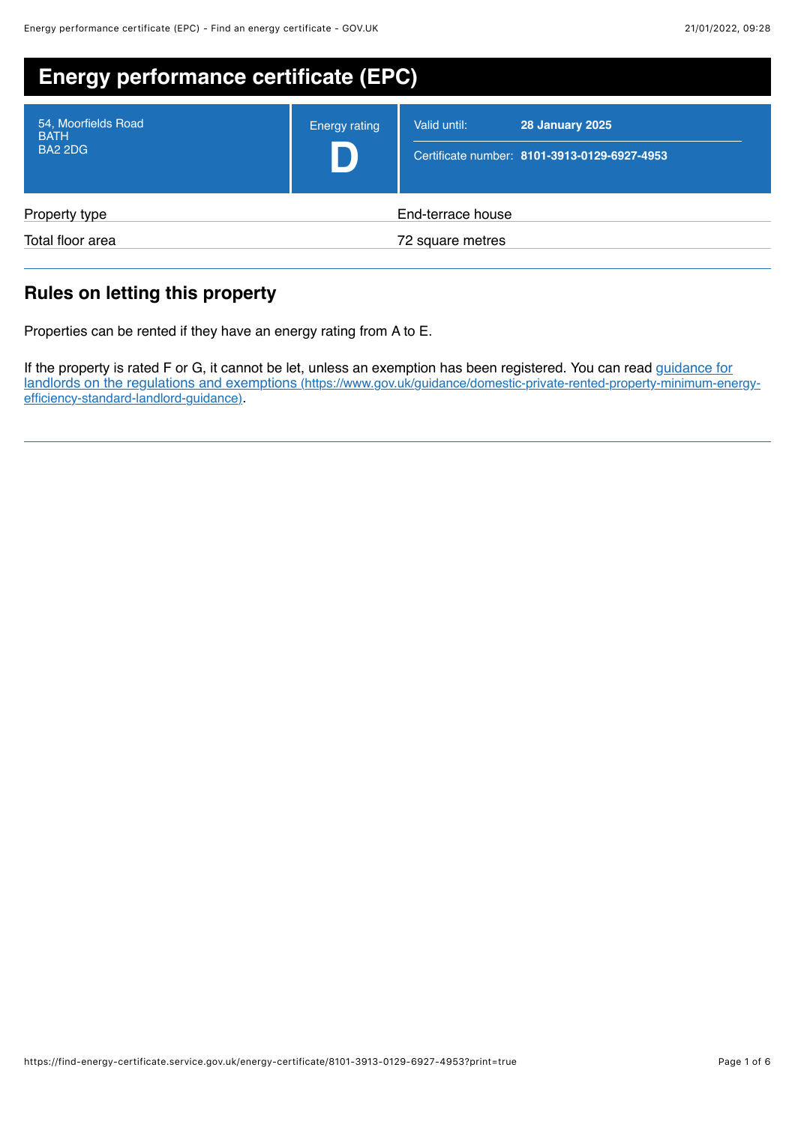| <b>Energy performance certificate (EPC)</b>          |                      |                                                                                        |
|------------------------------------------------------|----------------------|----------------------------------------------------------------------------------------|
| 54, Moorfields Road<br><b>BATH</b><br><b>BA2 2DG</b> | <b>Energy rating</b> | <b>28 January 2025</b><br>Valid until:<br>Certificate number: 8101-3913-0129-6927-4953 |
| Property type                                        |                      | End-terrace house                                                                      |
| Total floor area                                     |                      | 72 square metres                                                                       |

# **Rules on letting this property**

Properties can be rented if they have an energy rating from A to E.

If the property is rated F or G, it cannot be let, unless an exemption has been registered. You can read guidance for [landlords on the regulations and exemptions \(https://www.gov.uk/guidance/domestic-private-rented-property-minimum-energy](https://www.gov.uk/guidance/domestic-private-rented-property-minimum-energy-efficiency-standard-landlord-guidance)efficiency-standard-landlord-guidance).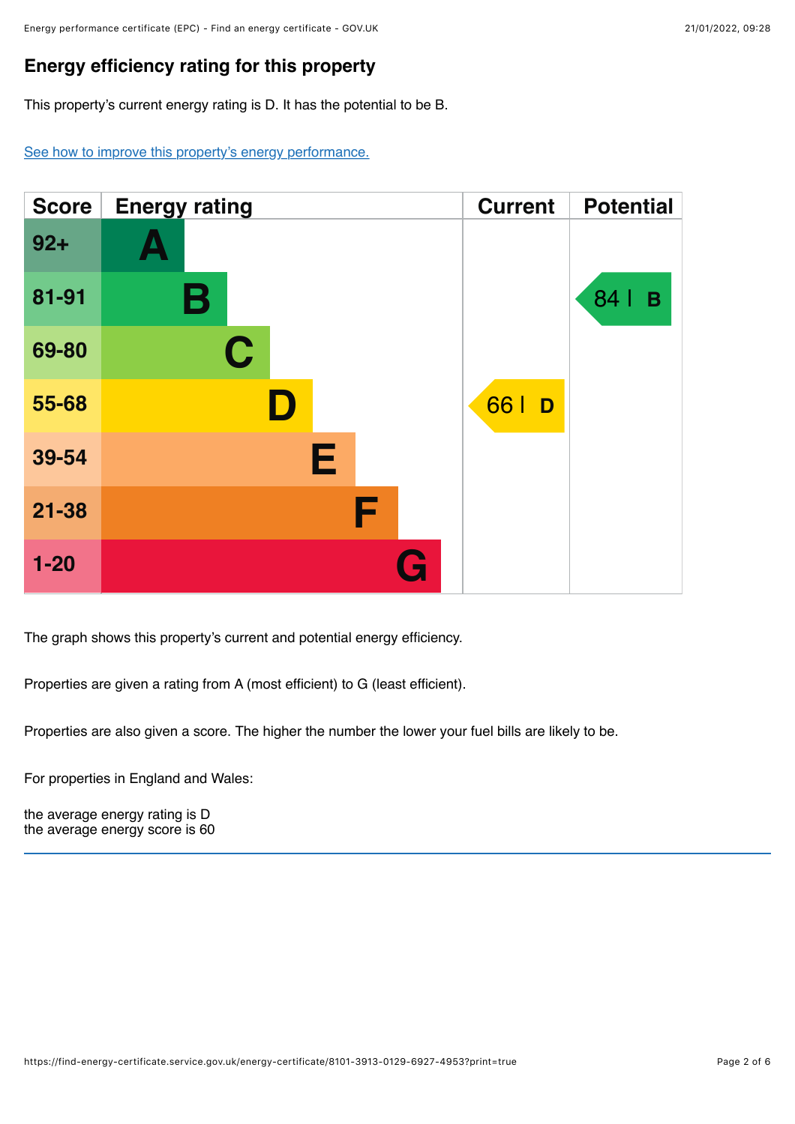# **Energy efficiency rating for this property**

This property's current energy rating is D. It has the potential to be B.

[See how to improve this property's energy performance.](#page-3-0)



The graph shows this property's current and potential energy efficiency.

Properties are given a rating from A (most efficient) to G (least efficient).

Properties are also given a score. The higher the number the lower your fuel bills are likely to be.

For properties in England and Wales:

the average energy rating is D the average energy score is 60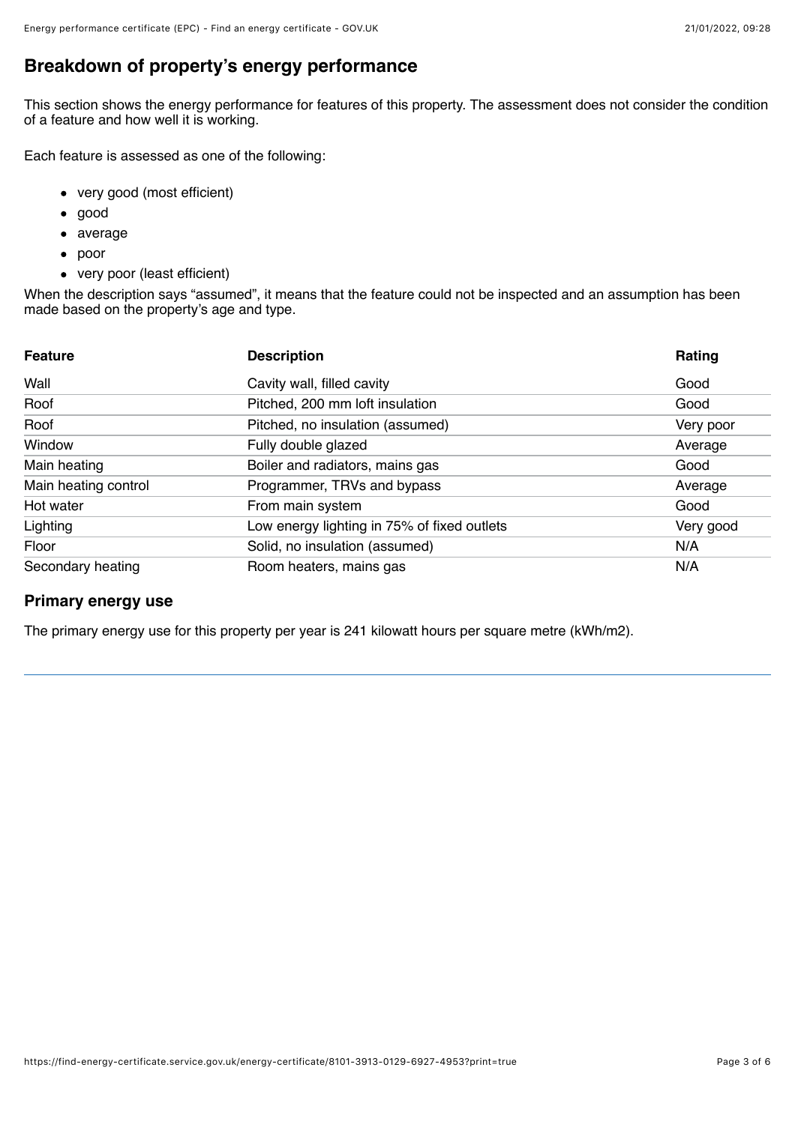# **Breakdown of property's energy performance**

This section shows the energy performance for features of this property. The assessment does not consider the condition of a feature and how well it is working.

Each feature is assessed as one of the following:

- very good (most efficient)
- good  $\bullet$
- average
- poor
- very poor (least efficient)

When the description says "assumed", it means that the feature could not be inspected and an assumption has been made based on the property's age and type.

| <b>Feature</b>       | <b>Description</b>                          | Rating    |
|----------------------|---------------------------------------------|-----------|
| Wall                 | Cavity wall, filled cavity                  | Good      |
| Roof                 | Pitched, 200 mm loft insulation             | Good      |
| Roof                 | Pitched, no insulation (assumed)            | Very poor |
| Window               | Fully double glazed                         | Average   |
| Main heating         | Boiler and radiators, mains gas             | Good      |
| Main heating control | Programmer, TRVs and bypass                 | Average   |
| Hot water            | From main system                            | Good      |
| Lighting             | Low energy lighting in 75% of fixed outlets | Very good |
| Floor                | Solid, no insulation (assumed)              | N/A       |
| Secondary heating    | Room heaters, mains gas                     | N/A       |

## **Primary energy use**

The primary energy use for this property per year is 241 kilowatt hours per square metre (kWh/m2).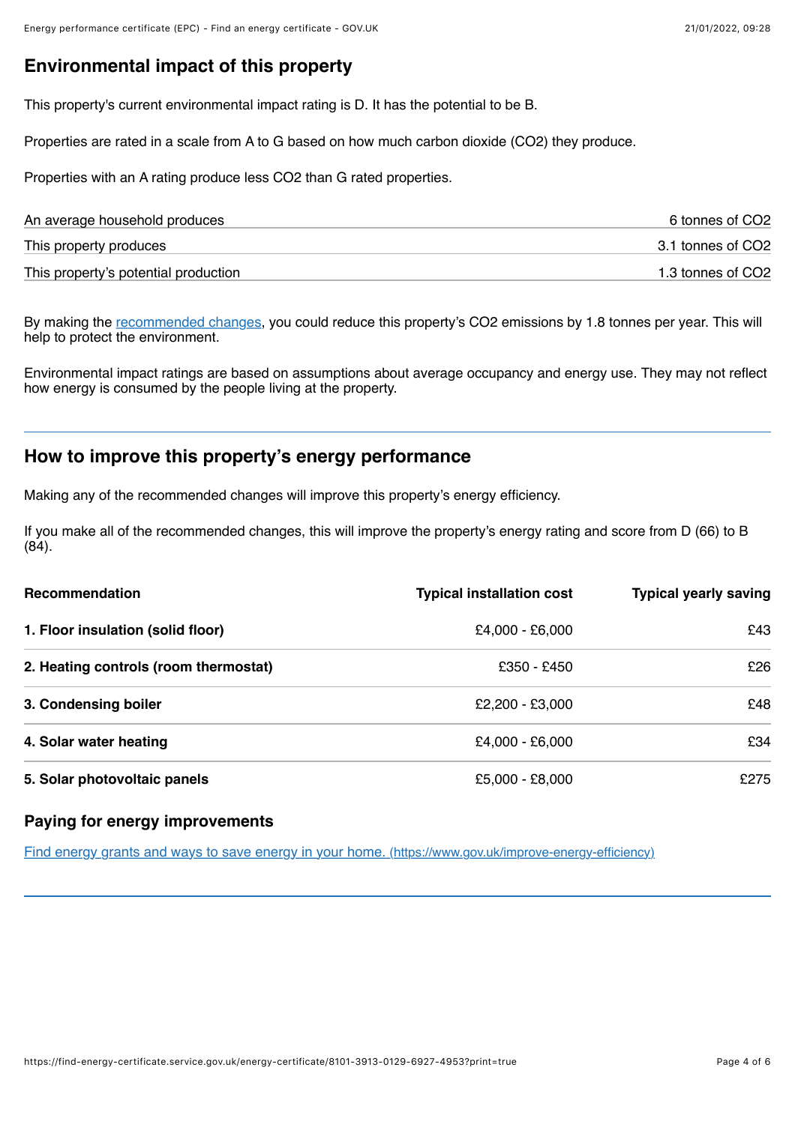## **Environmental impact of this property**

This property's current environmental impact rating is D. It has the potential to be B.

Properties are rated in a scale from A to G based on how much carbon dioxide (CO2) they produce.

Properties with an A rating produce less CO2 than G rated properties.

| An average household produces        | 6 tonnes of CO2   |
|--------------------------------------|-------------------|
| This property produces               | 3.1 tonnes of CO2 |
| This property's potential production | 1.3 tonnes of CO2 |

By making the <u>recommended changes</u>, you could reduce this property's CO2 emissions by 1.8 tonnes per year. This will help to protect the environment.

Environmental impact ratings are based on assumptions about average occupancy and energy use. They may not reflect how energy is consumed by the people living at the property.

## <span id="page-3-0"></span>**How to improve this property's energy performance**

Making any of the recommended changes will improve this property's energy efficiency.

If you make all of the recommended changes, this will improve the property's energy rating and score from D (66) to B (84).

| Recommendation                        | <b>Typical installation cost</b> | <b>Typical yearly saving</b> |
|---------------------------------------|----------------------------------|------------------------------|
| 1. Floor insulation (solid floor)     | £4,000 - £6,000                  | £43                          |
| 2. Heating controls (room thermostat) | £350 - £450                      | £26                          |
| 3. Condensing boiler                  | £2,200 - £3,000                  | £48                          |
| 4. Solar water heating                | £4,000 - £6,000                  | £34                          |
| 5. Solar photovoltaic panels          | £5,000 - £8,000                  | £275                         |

#### **Paying for energy improvements**

[Find energy grants and ways to save energy in your home. \(https://www.gov.uk/improve-energy-efficiency\)](https://www.gov.uk/improve-energy-efficiency)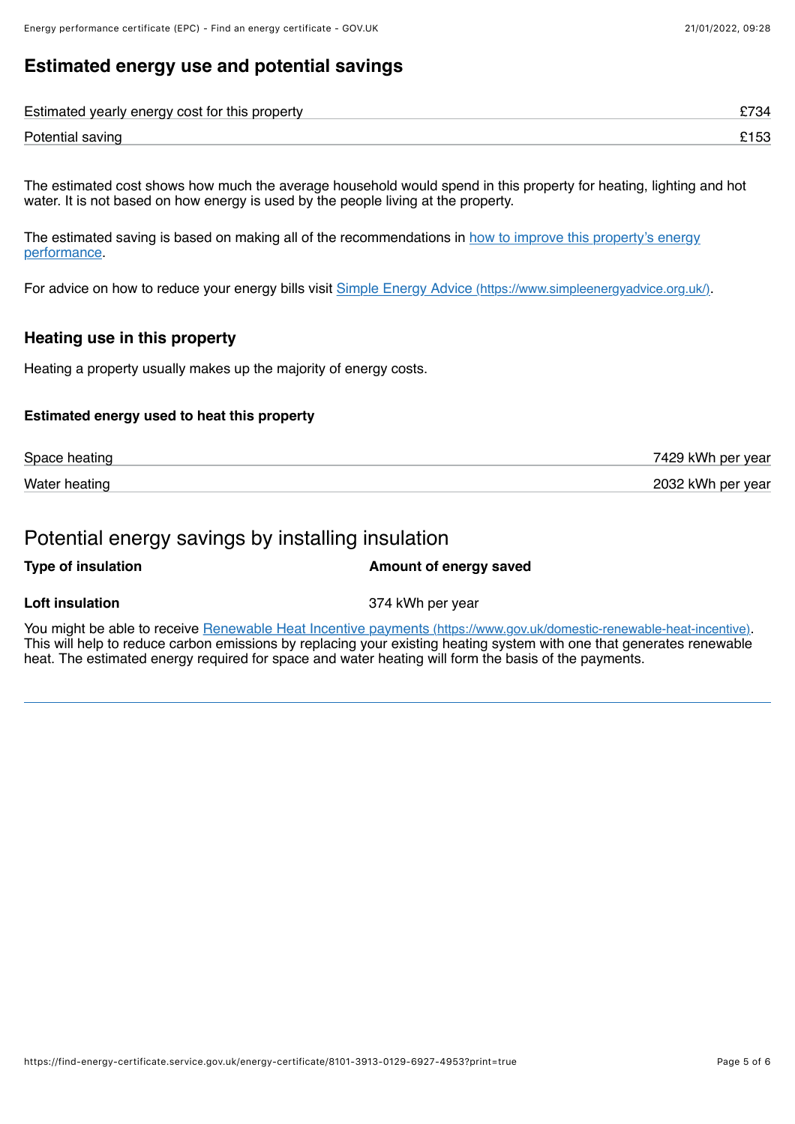# **Estimated energy use and potential savings**

| Estimated yearly energy cost for this property |  |
|------------------------------------------------|--|
| Potential saving                               |  |

The estimated cost shows how much the average household would spend in this property for heating, lighting and hot water. It is not based on how energy is used by the people living at the property.

[The estimated saving is based on making all of the recommendations in how to improve this property's energy](#page-3-0) performance.

For advice on how to reduce your energy bills visit [Simple Energy Advice \(https://www.simpleenergyadvice.org.uk/\)](https://www.simpleenergyadvice.org.uk/).

#### **Heating use in this property**

Heating a property usually makes up the majority of energy costs.

#### **Estimated energy used to heat this property**

| Space heating | 7429 kWh per year |
|---------------|-------------------|
| Water heating | 2032 kWh per year |

## Potential energy savings by installing insulation

| <b>Type of insulation</b> | Amount of energy saved |
|---------------------------|------------------------|
|                           |                        |

**Loft insulation** 374 kWh per year

You might be able to receive [Renewable Heat Incentive payments \(https://www.gov.uk/domestic-renewable-heat-incentive\).](https://www.gov.uk/domestic-renewable-heat-incentive) This will help to reduce carbon emissions by replacing your existing heating system with one that generates renewable heat. The estimated energy required for space and water heating will form the basis of the payments.